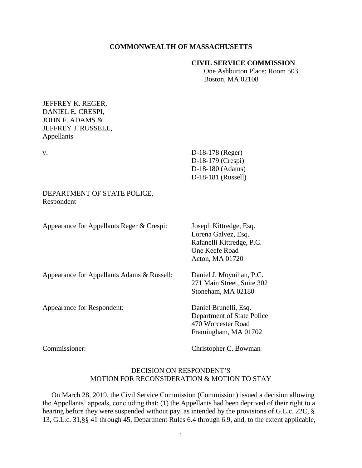## **COMMONWEALTH OF MASSACHUSETTS**

#### **CIVIL SERVICE COMMISSION**

 One Ashburton Place: Room 503 Boston, MA 02108

## JEFFREY K. REGER, DANIEL E. CRESPI, JOHN F. ADAMS & JEFFREY J. RUSSELL, Appellants

v. D-18-178 (Reger) D-18-179 (Crespi) D-18-180 (Adams) D-18-181 (Russell)

## DEPARTMENT OF STATE POLICE, Respondent

Appearance for Appellants Reger & Crespi: Joseph Kittredge, Esq.

Lorena Galvez, Esq. Rafanelli Kittredge, P.C. One Keefe Road Acton, MA 01720

Appearance for Appellants Adams & Russell: Daniel J. Moynihan, P.C.

Appearance for Respondent: Daniel Brunelli, Esq.

271 Main Street, Suite 302 Stoneham, MA 02180

Department of State Police 470 Worcester Road Framingham, MA 01702

Commissioner: Christopher C. Bowman

# DECISION ON RESPONDENT'S MOTION FOR RECONSIDERATION & MOTION TO STAY

 On March 28, 2019, the Civil Service Commission (Commission) issued a decision allowing the Appellants' appeals, concluding that: (1) the Appellants had been deprived of their right to a hearing before they were suspended without pay, as intended by the provisions of G.L.c. 22C, § 13, G.L.c. 31,§§ 41 through 45, Department Rules 6.4 through 6.9, and, to the extent applicable,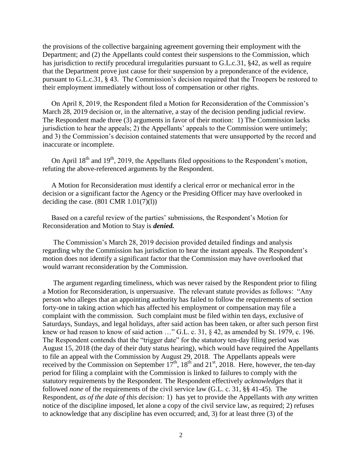the provisions of the collective bargaining agreement governing their employment with the Department; and (2) the Appellants could contest their suspensions to the Commission, which has jurisdiction to rectify procedural irregularities pursuant to G.L.c.31, §42, as well as require that the Department prove just cause for their suspension by a preponderance of the evidence, pursuant to G.L.c.31, § 43. The Commission's decision required that the Troopers be restored to their employment immediately without loss of compensation or other rights.

 On April 8, 2019, the Respondent filed a Motion for Reconsideration of the Commission's March 28, 2019 decision or, in the alternative, a stay of the decision pending judicial review. The Respondent made three (3) arguments in favor of their motion: 1) The Commission lacks jurisdiction to hear the appeals; 2) the Appellants' appeals to the Commission were untimely; and 3) the Commission's decision contained statements that were unsupported by the record and inaccurate or incomplete.

On April  $18<sup>th</sup>$  and  $19<sup>th</sup>$ , 2019, the Appellants filed oppositions to the Respondent's motion, refuting the above-referenced arguments by the Respondent.

 A Motion for Reconsideration must identify a clerical error or mechanical error in the decision or a significant factor the Agency or the Presiding Officer may have overlooked in deciding the case.  $(801 \text{ CMR } 1.01(7)(1))$ 

 Based on a careful review of the parties' submissions, the Respondent's Motion for Reconsideration and Motion to Stay is *denied.*

 The Commission's March 28, 2019 decision provided detailed findings and analysis regarding why the Commission has jurisdiction to hear the instant appeals. The Respondent's motion does not identify a significant factor that the Commission may have overlooked that would warrant reconsideration by the Commission.

 The argument regarding timeliness, which was never raised by the Respondent prior to filing a Motion for Reconsideration, is unpersuasive. The relevant statute provides as follows: "Any person who alleges that an appointing authority has failed to follow the requirements of section forty-one in taking action which has affected his employment or compensation may file a complaint with the commission. Such complaint must be filed within ten days, exclusive of Saturdays, Sundays, and legal holidays, after said action has been taken, or after such person first knew or had reason to know of said action ..." G.L. c. 31,  $\&$  42, as amended by St. 1979, c. 196. The Respondent contends that the "trigger date" for the statutory ten-day filing period was August 15, 2018 (the day of their duty status hearing), which would have required the Appellants to file an appeal with the Commission by August 29, 2018. The Appellants appeals were received by the Commission on September  $17<sup>th</sup>$ ,  $18<sup>th</sup>$  and  $21<sup>st</sup>$ , 2018. Here, however, the ten-day period for filing a complaint with the Commission is linked to failures to comply with the statutory requirements by the Respondent. The Respondent effectively *acknowledges* that it followed *none* of the requirements of the civil service law (G.L. c. 31, §§ 41-45). The Respondent, *as of the date of this decision:* 1) has yet to provide the Appellants with *any* written notice of the discipline imposed, let alone a copy of the civil service law, as required; 2) refuses to acknowledge that any discipline has even occurred; and, 3) for at least three (3) of the